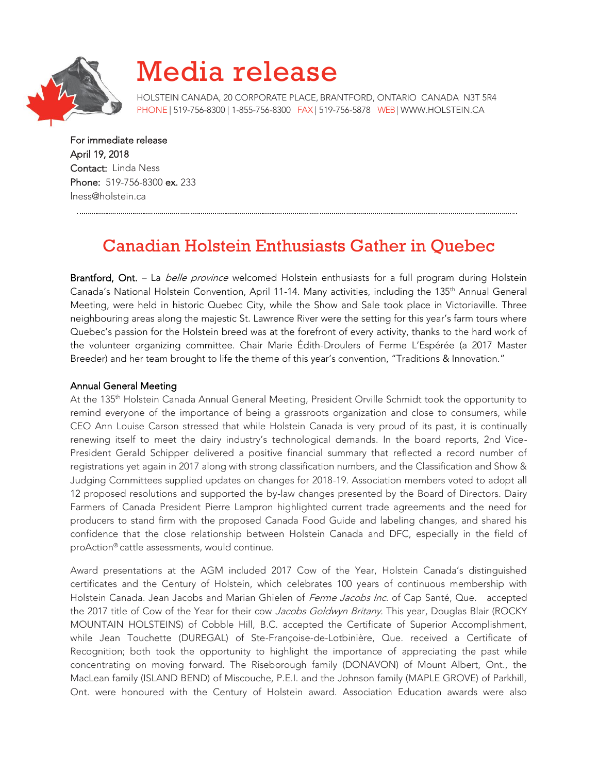

# Media release

HOLSTEIN CANADA, 20 CORPORATE PLACE, BRANTFORD, ONTARIO CANADA N3T 5R4 PHONE | 519-756-8300 | 1-855-756-8300 FAX | 519-756-5878 WEB[| WWW.HOLSTEIN.CA](http://www.holstein.ca/)

For immediate release April 19, 2018 Contact: Linda Ness Phone: 519-756-8300 ex. 233 lness@holstein.ca

# Canadian Holstein Enthusiasts Gather in Quebec

Brantford, Ont. - La *belle province* welcomed Holstein enthusiasts for a full program during Holstein Canada's National Holstein Convention, April 11-14. Many activities, including the 135th Annual General Meeting, were held in historic Quebec City, while the Show and Sale took place in Victoriaville. Three neighbouring areas along the majestic St. Lawrence River were the setting for this year's farm tours where Quebec's passion for the Holstein breed was at the forefront of every activity, thanks to the hard work of the volunteer organizing committee. Chair Marie Édith-Droulers of Ferme L'Espérée (a 2017 Master Breeder) and her team brought to life the theme of this year's convention, "Traditions & Innovation."

## Annual General Meeting

At the 135th Holstein Canada Annual General Meeting, President Orville Schmidt took the opportunity to remind everyone of the importance of being a grassroots organization and close to consumers, while CEO Ann Louise Carson stressed that while Holstein Canada is very proud of its past, it is continually renewing itself to meet the dairy industry's technological demands. In the board reports, 2nd Vice-President Gerald Schipper delivered a positive financial summary that reflected a record number of registrations yet again in 2017 along with strong classification numbers, and the Classification and Show & Judging Committees supplied updates on changes for 2018-19. Association members voted to adopt all 12 proposed resolutions and supported the by-law changes presented by the Board of Directors. Dairy Farmers of Canada President Pierre Lampron highlighted current trade agreements and the need for producers to stand firm with the proposed Canada Food Guide and labeling changes, and shared his confidence that the close relationship between Holstein Canada and DFC, especially in the field of proAction® cattle assessments, would continue.

Award presentations at the AGM included 2017 Cow of the Year, Holstein Canada's distinguished certificates and the Century of Holstein, which celebrates 100 years of continuous membership with Holstein Canada. Jean Jacobs and Marian Ghielen of Ferme Jacobs Inc. of Cap Santé, Que. accepted the 2017 title of Cow of the Year for their cow Jacobs Goldwyn Britany. This year, Douglas Blair (ROCKY MOUNTAIN HOLSTEINS) of Cobble Hill, B.C. accepted the Certificate of Superior Accomplishment, while Jean Touchette (DUREGAL) of Ste-Françoise-de-Lotbinière, Que. received a Certificate of Recognition; both took the opportunity to highlight the importance of appreciating the past while concentrating on moving forward. The Riseborough family (DONAVON) of Mount Albert, Ont., the MacLean family (ISLAND BEND) of Miscouche, P.E.I. and the Johnson family (MAPLE GROVE) of Parkhill, Ont. were honoured with the Century of Holstein award. Association Education awards were also